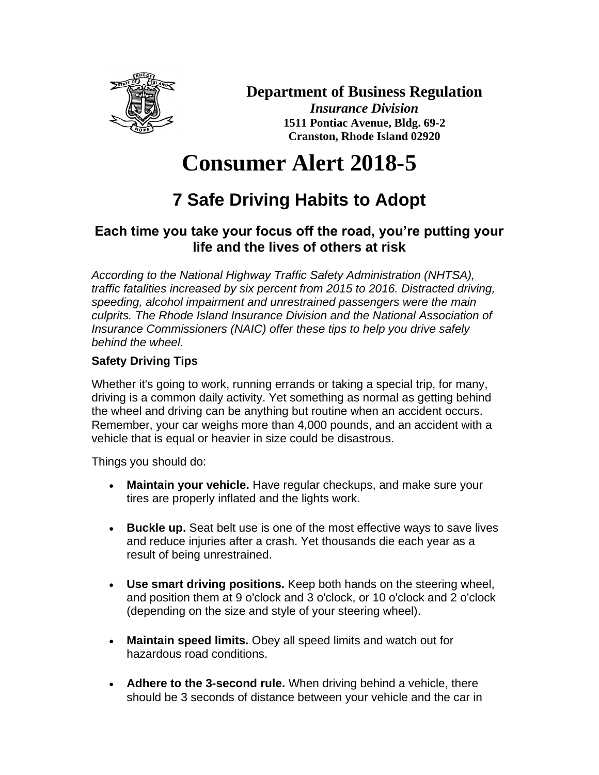

### **Department of Business Regulation**

*Insurance Division* **1511 Pontiac Avenue, Bldg. 69-2 Cranston, Rhode Island 02920**

# **Consumer Alert 2018-5**

## **7 Safe Driving Habits to Adopt**

#### **Each time you take your focus off the road, you're putting your life and the lives of others at risk**

*According to the National Highway Traffic Safety Administration (NHTSA), traffic fatalities increased by six percent from 2015 to 2016. Distracted driving, speeding, alcohol impairment and unrestrained passengers were the main culprits. The Rhode Island Insurance Division and the National Association of Insurance Commissioners (NAIC) offer these tips to help you drive safely behind the wheel.*

#### **Safety Driving Tips**

Whether it's going to work, running errands or taking a special trip, for many, driving is a common daily activity. Yet something as normal as getting behind the wheel and driving can be anything but routine when an accident occurs. Remember, your car weighs more than 4,000 pounds, and an accident with a vehicle that is equal or heavier in size could be disastrous.

Things you should do:

- **Maintain your vehicle.** Have regular checkups, and make sure your tires are properly inflated and the lights work.
- **Buckle up.** Seat belt use is one of the most effective ways to save lives and reduce injuries after a crash. Yet thousands die each year as a result of being unrestrained.
- **Use smart driving positions.** Keep both hands on the steering wheel, and position them at 9 o'clock and 3 o'clock, or 10 o'clock and 2 o'clock (depending on the size and style of your steering wheel).
- **Maintain speed limits.** Obey all speed limits and watch out for hazardous road conditions.
- Adhere to the 3-second rule. When driving behind a vehicle, there should be 3 seconds of distance between your vehicle and the car in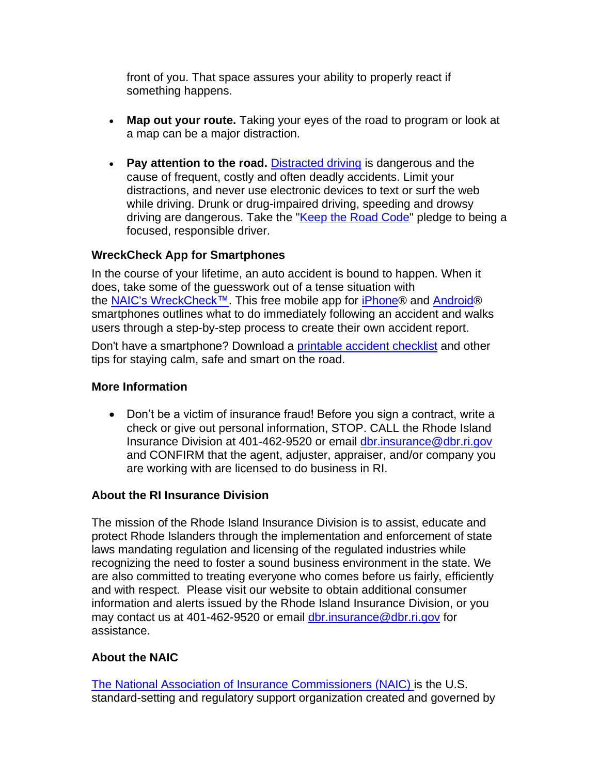front of you. That space assures your ability to properly react if something happens.

- Map out your route. Taking your eyes of the road to program or look at a map can be a major distraction.
- **Pay attention to the road.** [Distracted driving](https://www.naic.org/documents/consumer_alert_distracted_driving.htm) is dangerous and the cause of frequent, costly and often deadly accidents. Limit your distractions, and never use electronic devices to text or surf the web while driving. Drunk or drug-impaired driving, speeding and drowsy driving are dangerous. Take the ["Keep the Road Code"](https://www.insureuonline.org/insureu_special_distracted_driving.htm) pledge to being a focused, responsible driver.

#### **WreckCheck App for Smartphones**

In the course of your lifetime, an auto accident is bound to happen. When it does, take some of the guesswork out of a tense situation with the NAIC's [WreckCheck™.](https://www.insureuonline.org/insureu_games_apps.htm) This free mobile app for [iPhone®](https://itunes.apple.com/us/app/wreckcheck/id543290503?ls=1&mt=8) and [Android®](https://play.google.com/store/apps/details?id=org.naic.android.wreckcheck&feature=search_result#?t=W251bGwsMSwyLDEsIm9yZy5uYWljLmFuZHJvaWQud3JlY2tjaGVjayJd) smartphones outlines what to do immediately following an accident and walks users through a step-by-step process to create their own accident report.

Don't have a smartphone? Download a [printable accident checklist](https://www.insureuonline.org/auto_accident_checklist.pdf) and other tips for staying calm, safe and smart on the road.

#### **More Information**

• Don't be a victim of insurance fraud! Before you sign a contract, write a check or give out personal information, STOP. CALL the Rhode Island Insurance Division at 401-462-9520 or email [dbr.insurance@dbr.ri.gov](mailto:dbr.insurance@dbr.ri.gov) and CONFIRM that the agent, adjuster, appraiser, and/or company you are working with are licensed to do business in RI.

#### **About the RI Insurance Division**

The mission of the Rhode Island Insurance Division is to assist, educate and protect Rhode Islanders through the implementation and enforcement of state laws mandating regulation and licensing of the regulated industries while recognizing the need to foster a sound business environment in the state. We are also committed to treating everyone who comes before us fairly, efficiently and with respect. Please visit our website to obtain additional consumer information and alerts issued by the Rhode Island Insurance Division, or you may contact us at 401-462-9520 or email [dbr.insurance@dbr.ri.gov](mailto:dbr.insurance@dbr.ri.gov) for assistance.

#### **About the NAIC**

The National Association [of Insurance Commissioners](http://www.naic.org/) (NAIC) is the U.S. standard-setting and regulatory support organization created and governed by